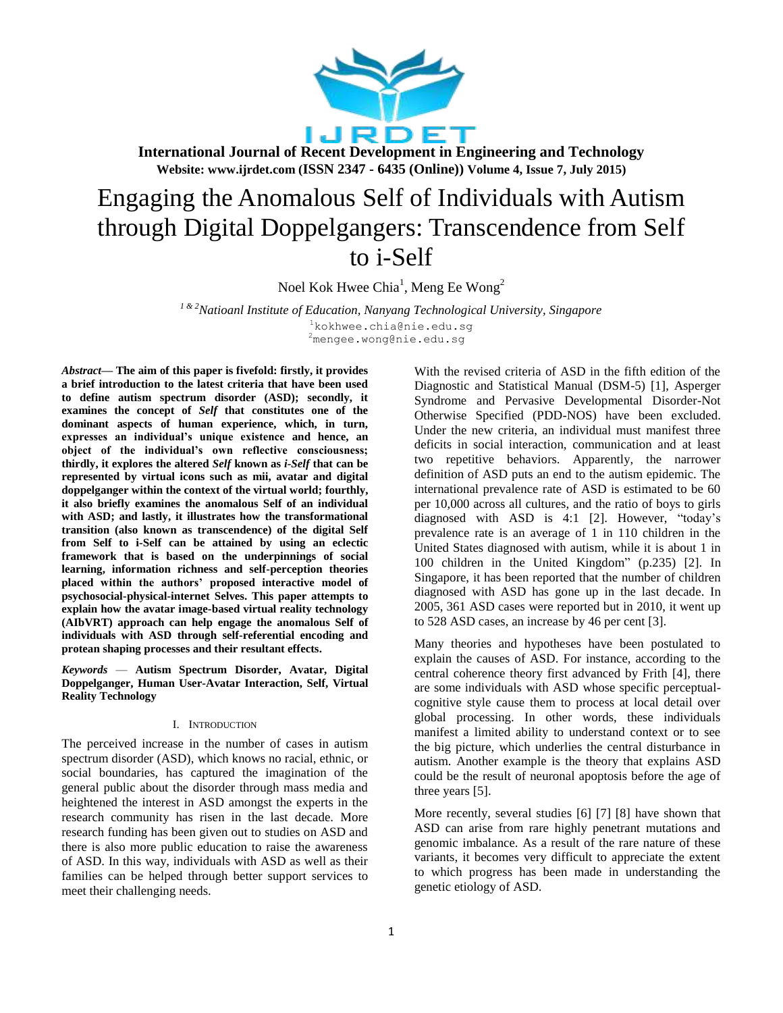

# Engaging the Anomalous Self of Individuals with Autism through Digital Doppelgangers: Transcendence from Self to i-Self

Noel Kok Hwee Chia<sup>1</sup>, Meng Ee Wong<sup>2</sup>

*<sup>1</sup> & 2Natioanl Institute of Education, Nanyang Technological University, Singapore*  $1$ kokhwee.chia@nie.edu.sq <sup>2</sup>mengee.wong@nie.edu.sg

*Abstract***— The aim of this paper is fivefold: firstly, it provides a brief introduction to the latest criteria that have been used to define autism spectrum disorder (ASD); secondly, it examines the concept of** *Self* **that constitutes one of the dominant aspects of human experience, which, in turn, expresses an individual's unique existence and hence, an object of the individual's own reflective consciousness; thirdly, it explores the altered** *Self* **known as** *i-Self* **that can be represented by virtual icons such as mii, avatar and digital doppelganger within the context of the virtual world; fourthly, it also briefly examines the anomalous Self of an individual with ASD; and lastly, it illustrates how the transformational transition (also known as transcendence) of the digital Self from Self to i-Self can be attained by using an eclectic framework that is based on the underpinnings of social learning, information richness and self-perception theories placed within the authors' proposed interactive model of psychosocial-physical-internet Selves. This paper attempts to explain how the avatar image-based virtual reality technology (AIbVRT) approach can help engage the anomalous Self of individuals with ASD through self-referential encoding and protean shaping processes and their resultant effects.**

*Keywords* — **Autism Spectrum Disorder, Avatar, Digital Doppelganger, Human User-Avatar Interaction, Self, Virtual Reality Technology**

### I. INTRODUCTION

The perceived increase in the number of cases in autism spectrum disorder (ASD), which knows no racial, ethnic, or social boundaries, has captured the imagination of the general public about the disorder through mass media and heightened the interest in ASD amongst the experts in the research community has risen in the last decade. More research funding has been given out to studies on ASD and there is also more public education to raise the awareness of ASD. In this way, individuals with ASD as well as their families can be helped through better support services to meet their challenging needs.

With the revised criteria of ASD in the fifth edition of the Diagnostic and Statistical Manual (DSM-5) [1], Asperger Syndrome and Pervasive Developmental Disorder-Not Otherwise Specified (PDD-NOS) have been excluded. Under the new criteria, an individual must manifest three deficits in social interaction, communication and at least two repetitive behaviors. Apparently, the narrower definition of ASD puts an end to the autism epidemic. The international prevalence rate of ASD is estimated to be 60 per 10,000 across all cultures, and the ratio of boys to girls diagnosed with ASD is  $4:1$  [2]. However, "today's prevalence rate is an average of 1 in 110 children in the United States diagnosed with autism, while it is about 1 in 100 children in the United Kingdom" (p.235) [2]. In Singapore, it has been reported that the number of children diagnosed with ASD has gone up in the last decade. In 2005, 361 ASD cases were reported but in 2010, it went up to 528 ASD cases, an increase by 46 per cent [3].

Many theories and hypotheses have been postulated to explain the causes of ASD. For instance, according to the central coherence theory first advanced by Frith [4], there are some individuals with ASD whose specific perceptualcognitive style cause them to process at local detail over global processing. In other words, these individuals manifest a limited ability to understand context or to see the big picture, which underlies the central disturbance in autism. Another example is the theory that explains ASD could be the result of neuronal apoptosis before the age of three years [5].

More recently, several studies [6] [7] [8] have shown that ASD can arise from rare highly penetrant mutations and genomic imbalance. As a result of the rare nature of these variants, it becomes very difficult to appreciate the extent to which progress has been made in understanding the genetic etiology of ASD.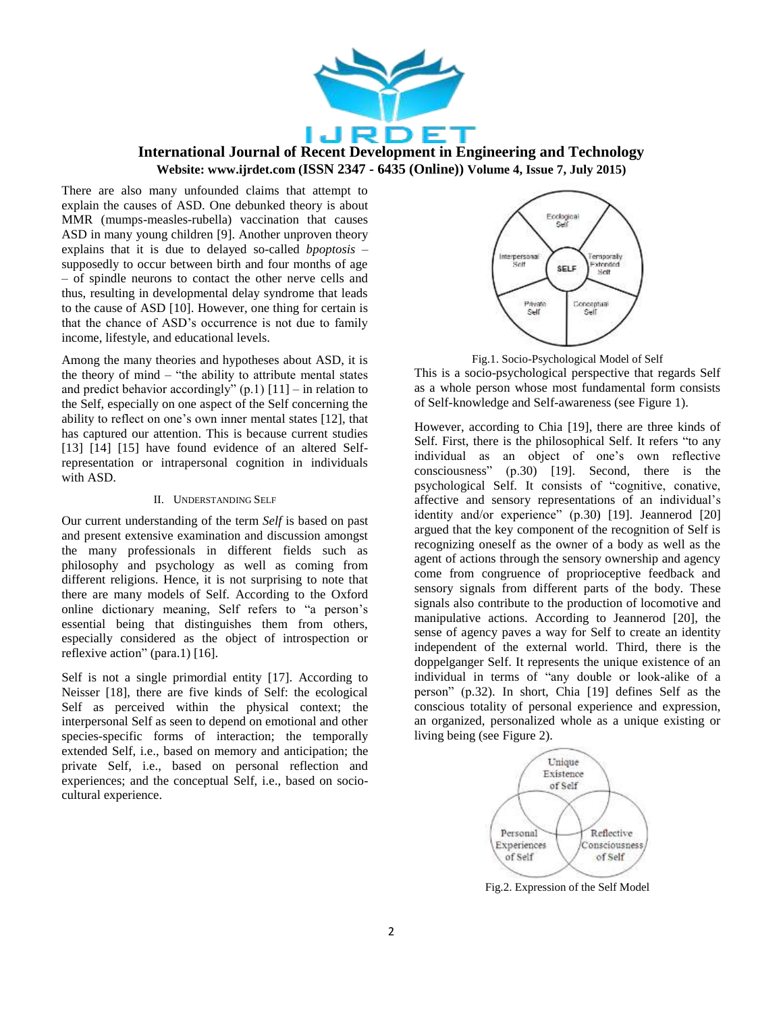

There are also many unfounded claims that attempt to explain the causes of ASD. One debunked theory is about MMR (mumps-measles-rubella) vaccination that causes ASD in many young children [9]. Another unproven theory explains that it is due to delayed so-called *bpoptosis* – supposedly to occur between birth and four months of age – of spindle neurons to contact the other nerve cells and thus, resulting in developmental delay syndrome that leads to the cause of ASD [10]. However, one thing for certain is that the chance of ASD's occurrence is not due to family income, lifestyle, and educational levels.

Among the many theories and hypotheses about ASD, it is the theory of mind – "the ability to attribute mental states" and predict behavior accordingly"  $(p.1)$  [11] – in relation to the Self, especially on one aspect of the Self concerning the ability to reflect on one's own inner mental states [12], that has captured our attention. This is because current studies [13] [14] [15] have found evidence of an altered Selfrepresentation or intrapersonal cognition in individuals with ASD.

### II. UNDERSTANDING SELF

Our current understanding of the term *Self* is based on past and present extensive examination and discussion amongst the many professionals in different fields such as philosophy and psychology as well as coming from different religions. Hence, it is not surprising to note that there are many models of Self. According to the Oxford online dictionary meaning, Self refers to "a person's essential being that distinguishes them from others, especially considered as the object of introspection or reflexive action" (para.1)  $[16]$ .

Self is not a single primordial entity [17]. According to Neisser [18], there are five kinds of Self: the ecological Self as perceived within the physical context; the interpersonal Self as seen to depend on emotional and other species-specific forms of interaction; the temporally extended Self, i.e., based on memory and anticipation; the private Self, i.e., based on personal reflection and experiences; and the conceptual Self, i.e., based on sociocultural experience.



Fig.1. Socio-Psychological Model of Self

This is a socio-psychological perspective that regards Self as a whole person whose most fundamental form consists of Self-knowledge and Self-awareness (see Figure 1).

However, according to Chia [19], there are three kinds of Self. First, there is the philosophical Self. It refers "to any individual as an object of one's own reflective consciousness‖ (p.30) [19]. Second, there is the psychological Self. It consists of "cognitive, conative, affective and sensory representations of an individual's identity and/or experience" (p.30) [19]. Jeannerod [20] argued that the key component of the recognition of Self is recognizing oneself as the owner of a body as well as the agent of actions through the sensory ownership and agency come from congruence of proprioceptive feedback and sensory signals from different parts of the body. These signals also contribute to the production of locomotive and manipulative actions. According to Jeannerod [20], the sense of agency paves a way for Self to create an identity independent of the external world. Third, there is the doppelganger Self. It represents the unique existence of an individual in terms of "any double or look-alike of a person‖ (p.32). In short, Chia [19] defines Self as the conscious totality of personal experience and expression, an organized, personalized whole as a unique existing or living being (see Figure 2).



Fig.2. Expression of the Self Model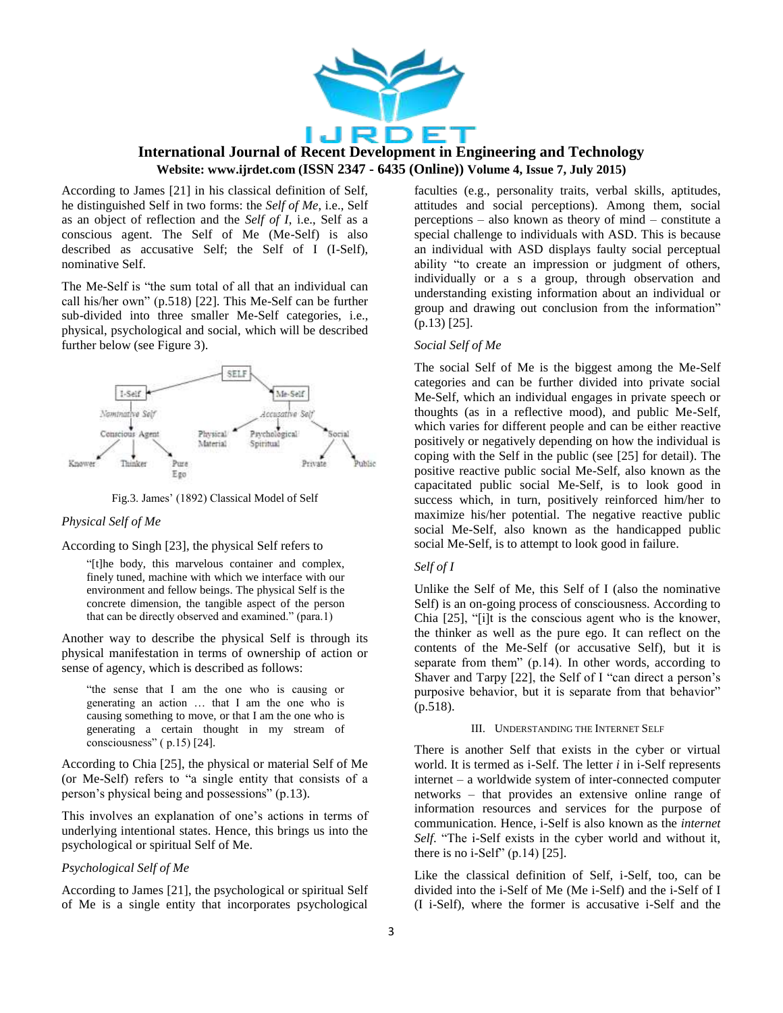

According to James [21] in his classical definition of Self, he distinguished Self in two forms: the *Self of Me*, i.e., Self as an object of reflection and the *Self of I*, i.e., Self as a conscious agent. The Self of Me (Me-Self) is also described as accusative Self; the Self of I (I-Self), nominative Self.

The Me-Self is "the sum total of all that an individual can call his/her own"  $(p.518)$  [22]. This Me-Self can be further sub-divided into three smaller Me-Self categories, i.e., physical, psychological and social, which will be described further below (see Figure 3).



Fig.3. James' (1892) Classical Model of Self

### *Physical Self of Me*

### According to Singh [23], the physical Self refers to

"[t]he body, this marvelous container and complex, finely tuned, machine with which we interface with our environment and fellow beings. The physical Self is the concrete dimension, the tangible aspect of the person that can be directly observed and examined." (para.1)

Another way to describe the physical Self is through its physical manifestation in terms of ownership of action or sense of agency, which is described as follows:

"the sense that I am the one who is causing or generating an action … that I am the one who is causing something to move, or that I am the one who is generating a certain thought in my stream of consciousness"  $(p.15)$  [24].

According to Chia [25], the physical or material Self of Me (or Me-Self) refers to "a single entity that consists of a person's physical being and possessions"  $(p.13)$ .

This involves an explanation of one's actions in terms of underlying intentional states. Hence, this brings us into the psychological or spiritual Self of Me.

### *Psychological Self of Me*

According to James [21], the psychological or spiritual Self of Me is a single entity that incorporates psychological

faculties (e.g., personality traits, verbal skills, aptitudes, attitudes and social perceptions). Among them, social perceptions – also known as theory of mind – constitute a special challenge to individuals with ASD. This is because an individual with ASD displays faulty social perceptual ability "to create an impression or judgment of others, individually or a s a group, through observation and understanding existing information about an individual or group and drawing out conclusion from the information" (p.13) [25].

### *Social Self of Me*

The social Self of Me is the biggest among the Me-Self categories and can be further divided into private social Me-Self, which an individual engages in private speech or thoughts (as in a reflective mood), and public Me-Self, which varies for different people and can be either reactive positively or negatively depending on how the individual is coping with the Self in the public (see [25] for detail). The positive reactive public social Me-Self, also known as the capacitated public social Me-Self, is to look good in success which, in turn, positively reinforced him/her to maximize his/her potential. The negative reactive public social Me-Self, also known as the handicapped public social Me-Self, is to attempt to look good in failure.

### *Self of I*

Unlike the Self of Me, this Self of I (also the nominative Self) is an on-going process of consciousness. According to Chia  $[25]$ , "[i]t is the conscious agent who is the knower, the thinker as well as the pure ego. It can reflect on the contents of the Me-Self (or accusative Self), but it is separate from them" (p.14). In other words, according to Shaver and Tarpy  $[22]$ , the Self of I "can direct a person's purposive behavior, but it is separate from that behavior" (p.518).

### III. UNDERSTANDING THE INTERNET SELF

There is another Self that exists in the cyber or virtual world. It is termed as i-Self. The letter *i* in i-Self represents internet – a worldwide system of inter-connected computer networks – that provides an extensive online range of information resources and services for the purpose of communication. Hence, i-Self is also known as the *internet*  Self. "The i-Self exists in the cyber world and without it, there is no i-Self"  $(p.14)$  [25].

Like the classical definition of Self, i-Self, too, can be divided into the i-Self of Me (Me i-Self) and the i-Self of I (I i-Self), where the former is accusative i-Self and the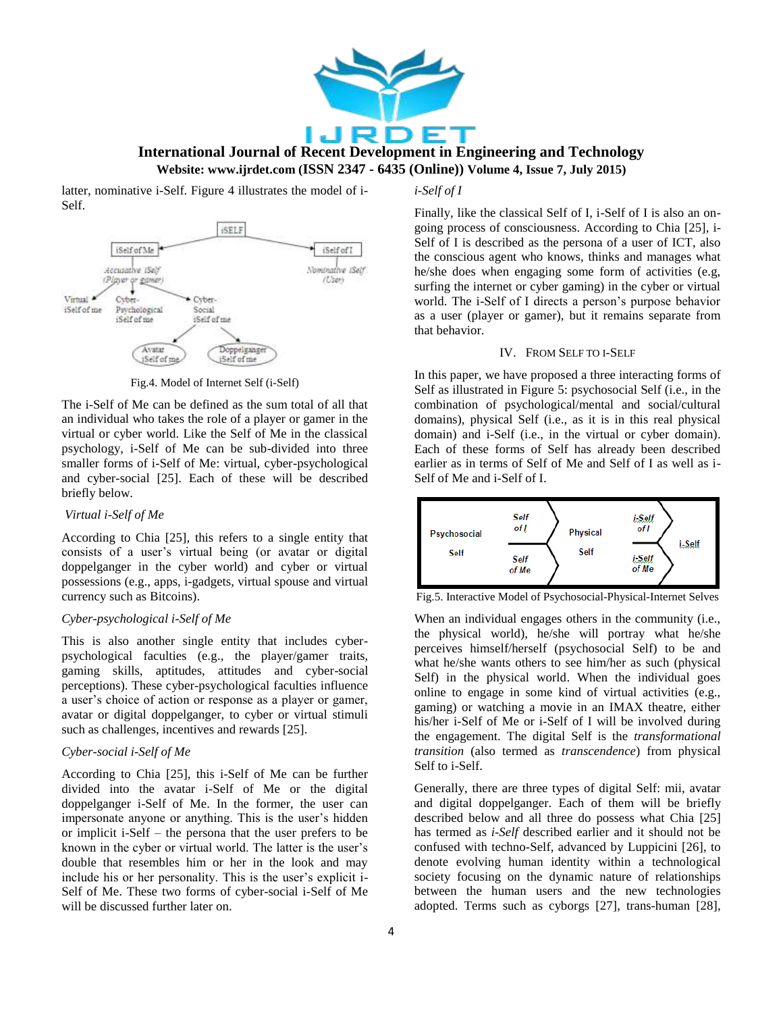

latter, nominative i-Self. Figure 4 illustrates the model of i-Self.



Fig.4. Model of Internet Self (i-Self)

The i-Self of Me can be defined as the sum total of all that an individual who takes the role of a player or gamer in the virtual or cyber world. Like the Self of Me in the classical psychology, i-Self of Me can be sub-divided into three smaller forms of i-Self of Me: virtual, cyber-psychological and cyber-social [25]. Each of these will be described briefly below.

### *Virtual i-Self of Me*

According to Chia [25], this refers to a single entity that consists of a user's virtual being (or avatar or digital doppelganger in the cyber world) and cyber or virtual possessions (e.g., apps, i-gadgets, virtual spouse and virtual currency such as Bitcoins).

### *Cyber-psychological i-Self of Me*

This is also another single entity that includes cyberpsychological faculties (e.g., the player/gamer traits, gaming skills, aptitudes, attitudes and cyber-social perceptions). These cyber-psychological faculties influence a user's choice of action or response as a player or gamer, avatar or digital doppelganger, to cyber or virtual stimuli such as challenges, incentives and rewards [25].

### *Cyber-social i-Self of Me*

According to Chia [25], this i-Self of Me can be further divided into the avatar i-Self of Me or the digital doppelganger i-Self of Me. In the former, the user can impersonate anyone or anything. This is the user's hidden or implicit i-Self – the persona that the user prefers to be known in the cyber or virtual world. The latter is the user's double that resembles him or her in the look and may include his or her personality. This is the user's explicit i-Self of Me. These two forms of cyber-social i-Self of Me will be discussed further later on.

### *i-Self of I*

Finally, like the classical Self of I, i-Self of I is also an ongoing process of consciousness. According to Chia [25], i-Self of I is described as the persona of a user of ICT, also the conscious agent who knows, thinks and manages what he/she does when engaging some form of activities (e.g, surfing the internet or cyber gaming) in the cyber or virtual world. The i-Self of I directs a person's purpose behavior as a user (player or gamer), but it remains separate from that behavior.

### IV. FROM SELF TO I-SELF

In this paper, we have proposed a three interacting forms of Self as illustrated in Figure 5: psychosocial Self (i.e., in the combination of psychological/mental and social/cultural domains), physical Self (i.e., as it is in this real physical domain) and i-Self (i.e., in the virtual or cyber domain). Each of these forms of Self has already been described earlier as in terms of Self of Me and Self of I as well as i-Self of Me and i-Self of I.



Fig.5. Interactive Model of Psychosocial-Physical-Internet Selves

When an individual engages others in the community (i.e., the physical world), he/she will portray what he/she perceives himself/herself (psychosocial Self) to be and what he/she wants others to see him/her as such (physical Self) in the physical world. When the individual goes online to engage in some kind of virtual activities (e.g., gaming) or watching a movie in an IMAX theatre, either his/her i-Self of Me or i-Self of I will be involved during the engagement. The digital Self is the *transformational transition* (also termed as *transcendence*) from physical Self to i-Self.

Generally, there are three types of digital Self: mii, avatar and digital doppelganger. Each of them will be briefly described below and all three do possess what Chia [25] has termed as *i-Self* described earlier and it should not be confused with techno-Self, advanced by Luppicini [26], to denote evolving human identity within a technological society focusing on the dynamic nature of relationships between the human users and the new technologies adopted. Terms such as cyborgs [27], trans-human [28],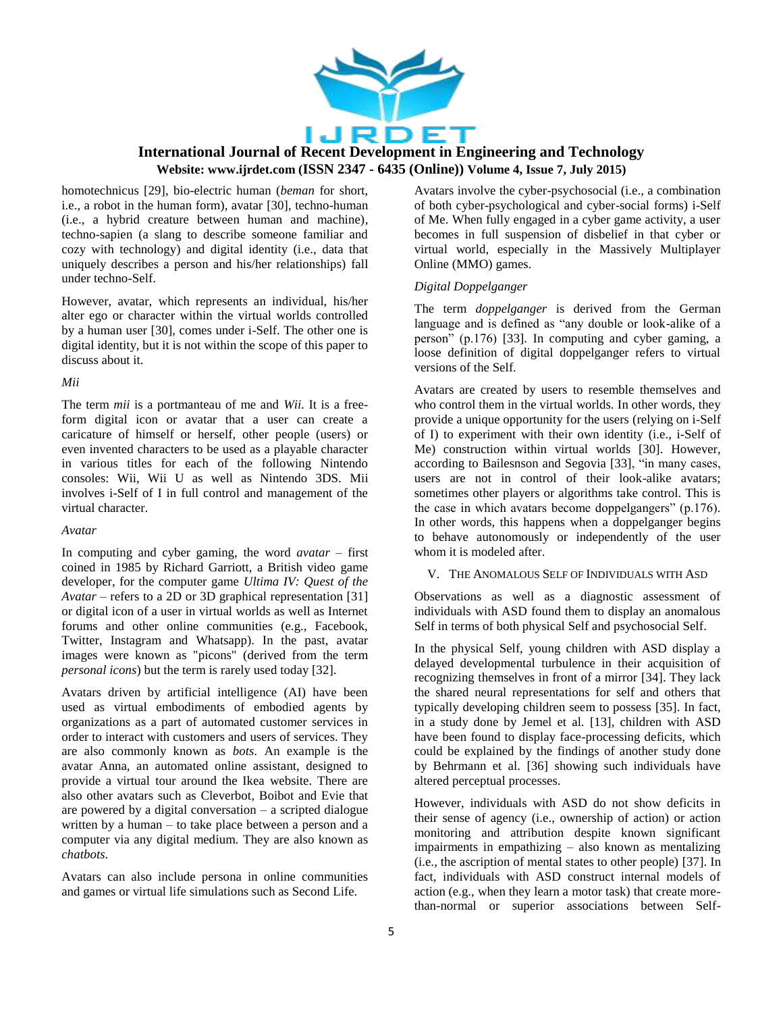

homotechnicus [29], bio-electric human (*beman* for short, i.e., a robot in the human form), avatar [30], techno-human (i.e., a hybrid creature between human and machine), techno-sapien (a slang to describe someone familiar and cozy with technology) and digital identity (i.e., data that uniquely describes a person and his/her relationships) fall under techno-Self.

However, avatar, which represents an individual, his/her alter ego or character within the virtual worlds controlled by a human user [30], comes under i-Self. The other one is digital identity, but it is not within the scope of this paper to discuss about it.

### *Mii*

The term *mii* is a portmanteau of me and *Wii*. It is a freeform digital icon or avatar that a user can create a caricature of himself or herself, other people (users) or even invented characters to be used as a playable character in various titles for each of the following Nintendo consoles: Wii, Wii U as well as Nintendo 3DS. Mii involves i-Self of I in full control and management of the virtual character.

### *Avatar*

In computing and cyber gaming, the word *avatar* – first coined in 1985 by Richard Garriott, a British video game developer, for the computer game *Ultima IV: Quest of the Avatar* – refers to a 2D or 3D graphical representation [31] or digital icon of a user in virtual worlds as well as Internet forums and other online communities (e.g., Facebook, Twitter, Instagram and Whatsapp). In the past, avatar images were known as "picons" (derived from the term *personal icons*) but the term is rarely used today [32].

Avatars driven by artificial intelligence (AI) have been used as virtual embodiments of embodied agents by organizations as a part of automated customer services in order to interact with customers and users of services. They are also commonly known as *bots*. An example is the avatar Anna, an automated online assistant, designed to provide a virtual tour around the Ikea website. There are also other avatars such as Cleverbot, Boibot and Evie that are powered by a digital conversation – a scripted dialogue written by a human – to take place between a person and a computer via any digital medium. They are also known as *chatbots*.

Avatars can also include persona in online communities and games or virtual life simulations such as Second Life.

Avatars involve the cyber-psychosocial (i.e., a combination of both cyber-psychological and cyber-social forms) i-Self of Me. When fully engaged in a cyber game activity, a user becomes in full suspension of disbelief in that cyber or virtual world, especially in the Massively Multiplayer Online (MMO) games.

### *Digital Doppelganger*

The term *doppelganger* is derived from the German language and is defined as "any double or look-alike of a person" (p.176) [33]. In computing and cyber gaming, a loose definition of digital doppelganger refers to virtual versions of the Self.

Avatars are created by users to resemble themselves and who control them in the virtual worlds. In other words, they provide a unique opportunity for the users (relying on i-Self of I) to experiment with their own identity (i.e., i-Self of Me) construction within virtual worlds [30]. However, according to Bailesnson and Segovia [33], "in many cases, users are not in control of their look-alike avatars; sometimes other players or algorithms take control. This is the case in which avatars become doppelgangers"  $(p.176)$ . In other words, this happens when a doppelganger begins to behave autonomously or independently of the user whom it is modeled after.

V. THE ANOMALOUS SELF OF INDIVIDUALS WITH ASD

Observations as well as a diagnostic assessment of individuals with ASD found them to display an anomalous Self in terms of both physical Self and psychosocial Self.

In the physical Self, young children with ASD display a delayed developmental turbulence in their acquisition of recognizing themselves in front of a mirror [34]. They lack the shared neural representations for self and others that typically developing children seem to possess [35]. In fact, in a study done by Jemel et al. [13], children with ASD have been found to display face-processing deficits, which could be explained by the findings of another study done by Behrmann et al. [36] showing such individuals have altered perceptual processes.

However, individuals with ASD do not show deficits in their sense of agency (i.e., ownership of action) or action monitoring and attribution despite known significant impairments in empathizing – also known as mentalizing (i.e., the ascription of mental states to other people) [37]. In fact, individuals with ASD construct internal models of action (e.g., when they learn a motor task) that create morethan-normal or superior associations between Self-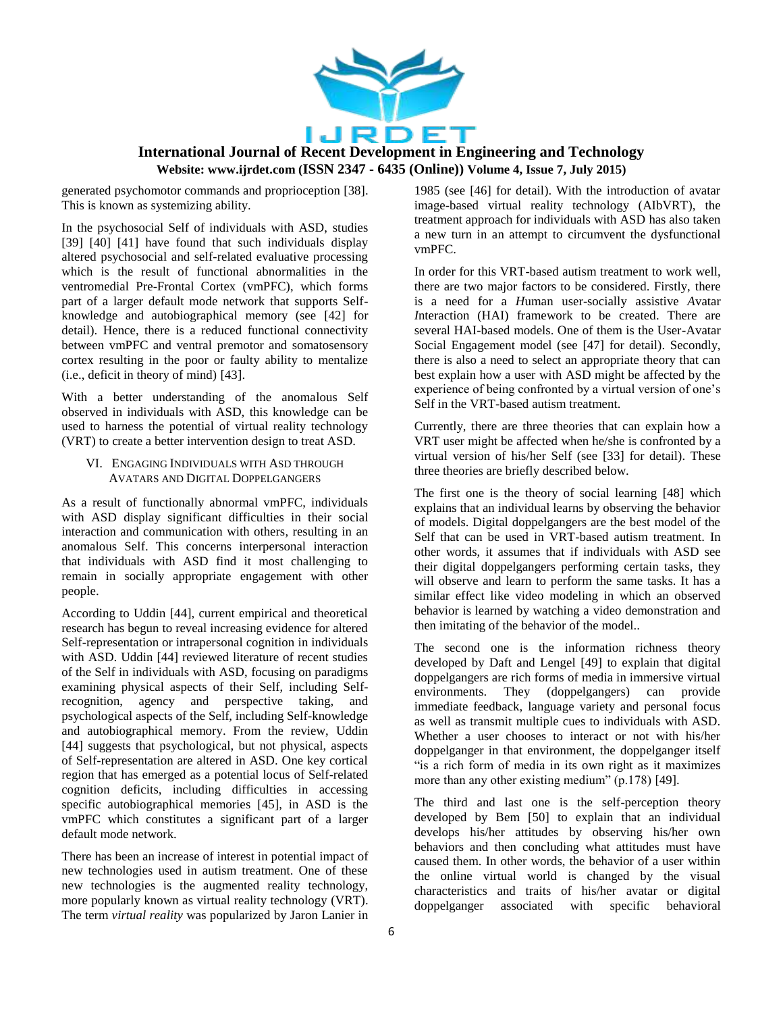

generated psychomotor commands and proprioception [38]. This is known as systemizing ability.

In the psychosocial Self of individuals with ASD, studies [39] [40] [41] have found that such individuals display altered psychosocial and self-related evaluative processing which is the result of functional abnormalities in the ventromedial Pre-Frontal Cortex (vmPFC), which forms part of a larger default mode network that supports Selfknowledge and autobiographical memory (see [42] for detail). Hence, there is a reduced functional connectivity between vmPFC and ventral premotor and somatosensory cortex resulting in the poor or faulty ability to mentalize (i.e., deficit in theory of mind) [43].

With a better understanding of the anomalous Self observed in individuals with ASD, this knowledge can be used to harness the potential of virtual reality technology (VRT) to create a better intervention design to treat ASD.

### VI. ENGAGING INDIVIDUALS WITH ASD THROUGH AVATARS AND DIGITAL DOPPELGANGERS

As a result of functionally abnormal vmPFC, individuals with ASD display significant difficulties in their social interaction and communication with others, resulting in an anomalous Self. This concerns interpersonal interaction that individuals with ASD find it most challenging to remain in socially appropriate engagement with other people.

According to Uddin [44], current empirical and theoretical research has begun to reveal increasing evidence for altered Self-representation or intrapersonal cognition in individuals with ASD. Uddin [44] reviewed literature of recent studies of the Self in individuals with ASD, focusing on paradigms examining physical aspects of their Self, including Selfrecognition, agency and perspective taking, and psychological aspects of the Self, including Self-knowledge and autobiographical memory. From the review, Uddin [44] suggests that psychological, but not physical, aspects of Self-representation are altered in ASD. One key cortical region that has emerged as a potential locus of Self-related cognition deficits, including difficulties in accessing specific autobiographical memories [45], in ASD is the vmPFC which constitutes a significant part of a larger default mode network.

There has been an increase of interest in potential impact of new technologies used in autism treatment. One of these new technologies is the augmented reality technology, more popularly known as virtual reality technology (VRT). The term *virtual reality* was popularized by Jaron Lanier in 1985 (see [46] for detail). With the introduction of avatar image-based virtual reality technology (AIbVRT), the treatment approach for individuals with ASD has also taken a new turn in an attempt to circumvent the dysfunctional vmPFC.

In order for this VRT-based autism treatment to work well, there are two major factors to be considered. Firstly, there is a need for a *H*uman user-socially assistive *A*vatar *I*nteraction (HAI) framework to be created. There are several HAI-based models. One of them is the User-Avatar Social Engagement model (see [47] for detail). Secondly, there is also a need to select an appropriate theory that can best explain how a user with ASD might be affected by the experience of being confronted by a virtual version of one's Self in the VRT-based autism treatment.

Currently, there are three theories that can explain how a VRT user might be affected when he/she is confronted by a virtual version of his/her Self (see [33] for detail). These three theories are briefly described below.

The first one is the theory of social learning [48] which explains that an individual learns by observing the behavior of models. Digital doppelgangers are the best model of the Self that can be used in VRT-based autism treatment. In other words, it assumes that if individuals with ASD see their digital doppelgangers performing certain tasks, they will observe and learn to perform the same tasks. It has a similar effect like video modeling in which an observed behavior is learned by watching a video demonstration and then imitating of the behavior of the model..

The second one is the information richness theory developed by Daft and Lengel [49] to explain that digital doppelgangers are rich forms of media in immersive virtual environments. They (doppelgangers) can provide immediate feedback, language variety and personal focus as well as transmit multiple cues to individuals with ASD. Whether a user chooses to interact or not with his/her doppelganger in that environment, the doppelganger itself "is a rich form of media in its own right as it maximizes more than any other existing medium"  $(p.178)$  [49].

The third and last one is the self-perception theory developed by Bem [50] to explain that an individual develops his/her attitudes by observing his/her own behaviors and then concluding what attitudes must have caused them. In other words, the behavior of a user within the online virtual world is changed by the visual characteristics and traits of his/her avatar or digital doppelganger associated with specific behavioral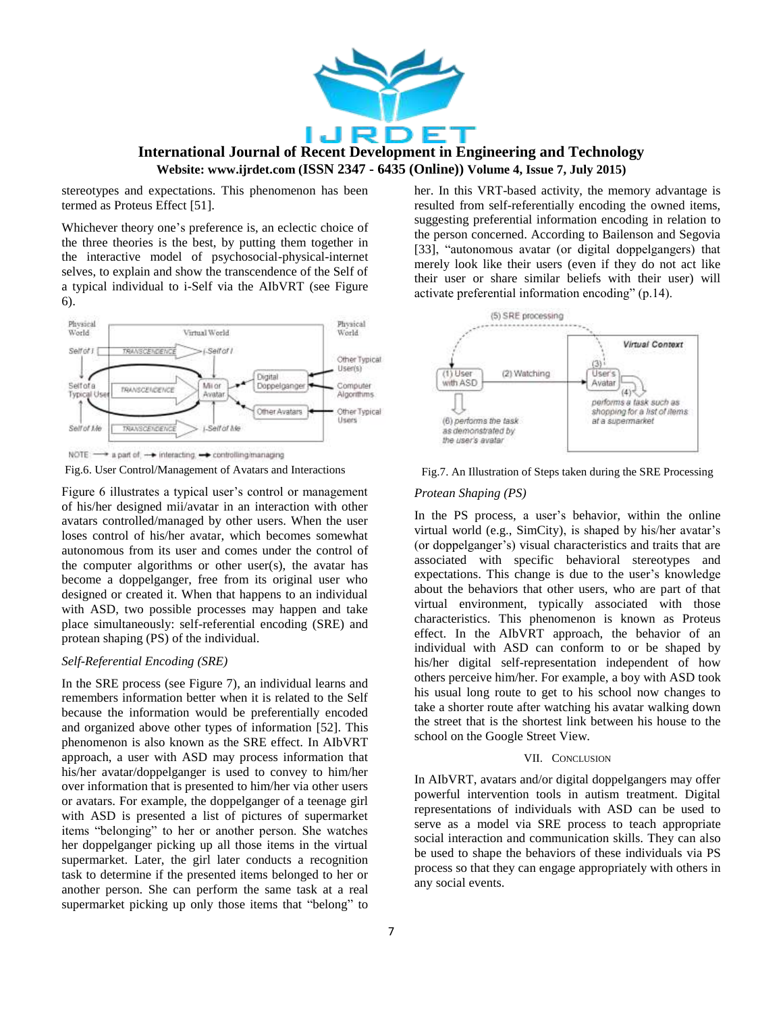

stereotypes and expectations. This phenomenon has been termed as Proteus Effect [51].

Whichever theory one's preference is, an eclectic choice of the three theories is the best, by putting them together in the interactive model of psychosocial-physical-internet selves, to explain and show the transcendence of the Self of a typical individual to i-Self via the AIbVRT (see Figure 6).



Fig.6. User Control/Management of Avatars and Interactions

Figure 6 illustrates a typical user's control or management of his/her designed mii/avatar in an interaction with other avatars controlled/managed by other users. When the user loses control of his/her avatar, which becomes somewhat autonomous from its user and comes under the control of the computer algorithms or other user(s), the avatar has become a doppelganger, free from its original user who designed or created it. When that happens to an individual with ASD, two possible processes may happen and take place simultaneously: self-referential encoding (SRE) and protean shaping (PS) of the individual.

### *Self-Referential Encoding (SRE)*

In the SRE process (see Figure 7), an individual learns and remembers information better when it is related to the Self because the information would be preferentially encoded and organized above other types of information [52]. This phenomenon is also known as the SRE effect. In AIbVRT approach, a user with ASD may process information that his/her avatar/doppelganger is used to convey to him/her over information that is presented to him/her via other users or avatars. For example, the doppelganger of a teenage girl with ASD is presented a list of pictures of supermarket items "belonging" to her or another person. She watches her doppelganger picking up all those items in the virtual supermarket. Later, the girl later conducts a recognition task to determine if the presented items belonged to her or another person. She can perform the same task at a real supermarket picking up only those items that "belong" to her. In this VRT-based activity, the memory advantage is resulted from self-referentially encoding the owned items, suggesting preferential information encoding in relation to the person concerned. According to Bailenson and Segovia [33], "autonomous avatar (or digital doppelgangers) that merely look like their users (even if they do not act like their user or share similar beliefs with their user) will activate preferential information encoding"  $(p.14)$ .





### *Protean Shaping (PS)*

In the PS process, a user's behavior, within the online virtual world (e.g., SimCity), is shaped by his/her avatar's (or doppelganger's) visual characteristics and traits that are associated with specific behavioral stereotypes and expectations. This change is due to the user's knowledge about the behaviors that other users, who are part of that virtual environment, typically associated with those characteristics. This phenomenon is known as Proteus effect. In the AIbVRT approach, the behavior of an individual with ASD can conform to or be shaped by his/her digital self-representation independent of how others perceive him/her. For example, a boy with ASD took his usual long route to get to his school now changes to take a shorter route after watching his avatar walking down the street that is the shortest link between his house to the school on the Google Street View.

### VII. CONCLUSION

In AIbVRT, avatars and/or digital doppelgangers may offer powerful intervention tools in autism treatment. Digital representations of individuals with ASD can be used to serve as a model via SRE process to teach appropriate social interaction and communication skills. They can also be used to shape the behaviors of these individuals via PS process so that they can engage appropriately with others in any social events.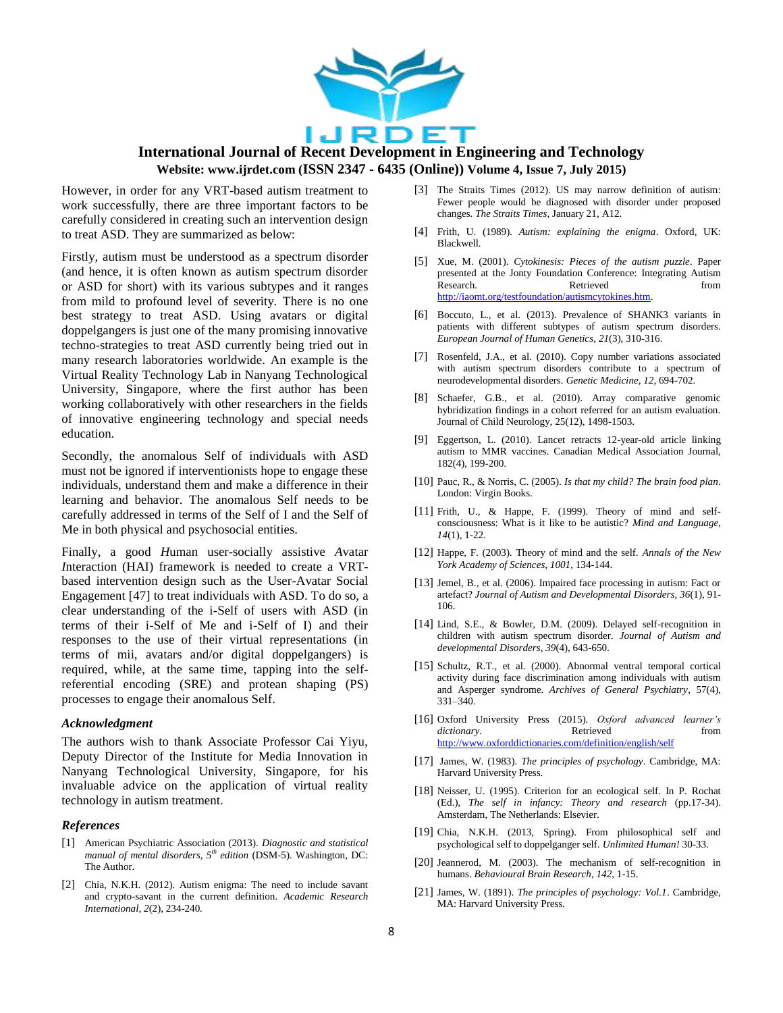

However, in order for any VRT-based autism treatment to work successfully, there are three important factors to be carefully considered in creating such an intervention design to treat ASD. They are summarized as below:

Firstly, autism must be understood as a spectrum disorder (and hence, it is often known as autism spectrum disorder or ASD for short) with its various subtypes and it ranges from mild to profound level of severity. There is no one best strategy to treat ASD. Using avatars or digital doppelgangers is just one of the many promising innovative techno-strategies to treat ASD currently being tried out in many research laboratories worldwide. An example is the Virtual Reality Technology Lab in Nanyang Technological University, Singapore, where the first author has been working collaboratively with other researchers in the fields of innovative engineering technology and special needs education.

Secondly, the anomalous Self of individuals with ASD must not be ignored if interventionists hope to engage these individuals, understand them and make a difference in their learning and behavior. The anomalous Self needs to be carefully addressed in terms of the Self of I and the Self of Me in both physical and psychosocial entities.

Finally, a good *H*uman user-socially assistive *A*vatar *I*nteraction (HAI) framework is needed to create a VRTbased intervention design such as the User-Avatar Social Engagement [47] to treat individuals with ASD. To do so, a clear understanding of the i-Self of users with ASD (in terms of their i-Self of Me and i-Self of I) and their responses to the use of their virtual representations (in terms of mii, avatars and/or digital doppelgangers) is required, while, at the same time, tapping into the selfreferential encoding (SRE) and protean shaping (PS) processes to engage their anomalous Self.

#### *Acknowledgment*

The authors wish to thank Associate Professor Cai Yiyu, Deputy Director of the Institute for Media Innovation in Nanyang Technological University, Singapore, for his invaluable advice on the application of virtual reality technology in autism treatment.

### *References*

- [1] American Psychiatric Association (2013). *Diagnostic and statistical manual of mental disorders, 5th edition* (DSM-5). Washington, DC: The Author.
- [2] Chia, N.K.H. (2012). Autism enigma: The need to include savant and crypto-savant in the current definition. *Academic Research International, 2*(2), 234-240*.*
- [3] The Straits Times (2012). US may narrow definition of autism: Fewer people would be diagnosed with disorder under proposed changes. *The Straits Times*, January 21, A12.
- [4] Frith, U. (1989). *Autism: explaining the enigma*. Oxford, UK: Blackwell.
- [5] Xue, M. (2001). *Cytokinesis: Pieces of the autism puzzle*. Paper presented at the Jonty Foundation Conference: Integrating Autism Research. Retrieved from [http://iaomt.org/testfoundation/autismcytokines.htm.](http://iaomt.org/testfoundation/autismcytokines.htm)
- [6] Boccuto, L., et al. (2013). Prevalence of SHANK3 variants in patients with different subtypes of autism spectrum disorders. *European Journal of Human Genetics*, *21*(3), 310-316.
- [7] Rosenfeld, J.A., et al. (2010). Copy number variations associated with autism spectrum disorders contribute to a spectrum of neurodevelopmental disorders. *Genetic Medicine*, *12*, 694-702.
- [8] Schaefer, G.B., et al. (2010). Array comparative genomic hybridization findings in a cohort referred for an autism evaluation. Journal of Child Neurology, 25(12), 1498-1503.
- [9] Eggertson, L. (2010). Lancet retracts 12-year-old article linking autism to MMR vaccines. Canadian Medical Association Journal, 182(4), 199-200.
- [10] Pauc, R., & Norris, C. (2005). *Is that my child? The brain food plan*. London: Virgin Books.
- [11] Frith, U., & Happe, F. (1999). Theory of mind and selfconsciousness: What is it like to be autistic? *Mind and Language*, *14*(1), 1-22.
- [12] Happe, F. (2003). Theory of mind and the self. *Annals of the New York Academy of Sciences*, *1001*, 134-144.
- [13] Jemel, B., et al. (2006). Impaired face processing in autism: Fact or artefact? *Journal of Autism and Developmental Disorders*, *36*(1), 91- 106.
- [14] Lind, S.E., & Bowler, D.M. (2009). Delayed self-recognition in children with autism spectrum disorder. *Journal of Autism and developmental Disorders*, *39*(4), 643-650.
- [15] Schultz, R.T., et al. (2000). Abnormal ventral temporal cortical activity during face discrimination among individuals with autism and Asperger syndrome. *Archives of General Psychiatry*, 57(4), 331–340.
- [16] Oxford University Press (2015). *Oxford advanced learner's dictionary*. Retrieved from <http://www.oxforddictionaries.com/definition/english/self>
- [17] James, W. (1983). *The principles of psychology*. Cambridge, MA: Harvard University Press.
- [18] Neisser, U. (1995). Criterion for an ecological self. In P. Rochat (Ed.), *The self in infancy: Theory and research* (pp.17-34). Amsterdam, The Netherlands: Elsevier.
- [19] Chia, N.K.H. (2013, Spring). From philosophical self and psychological self to doppelganger self. *Unlimited Human!* 30-33.
- [20] Jeannerod, M. (2003). The mechanism of self-recognition in humans. *Behavioural Brain Research*, *142*, 1-15.
- [21] James, W. (1891). *The principles of psychology: Vol.1*. Cambridge, MA: Harvard University Press.